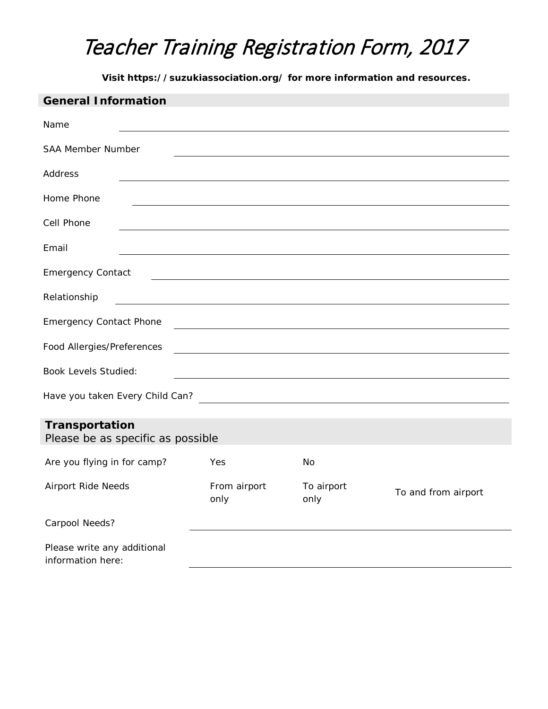**Visit https://suzukiassociation.org/ for more information and resources.**

| <b>General Information</b>                                                                                                                         |                                                                                                                      |                    |                     |  |
|----------------------------------------------------------------------------------------------------------------------------------------------------|----------------------------------------------------------------------------------------------------------------------|--------------------|---------------------|--|
| Name                                                                                                                                               |                                                                                                                      |                    |                     |  |
| <b>SAA Member Number</b>                                                                                                                           |                                                                                                                      |                    |                     |  |
| Address                                                                                                                                            |                                                                                                                      |                    |                     |  |
| Home Phone                                                                                                                                         |                                                                                                                      |                    |                     |  |
| Cell Phone                                                                                                                                         |                                                                                                                      |                    |                     |  |
| Email                                                                                                                                              |                                                                                                                      |                    |                     |  |
| <b>Emergency Contact</b>                                                                                                                           | <u> 1980 - Johann Barn, mars ann an t-Amhain Aonaich an t-Aonaich an t-Aonaich ann an t-Aonaich ann an t-Aonaich</u> |                    |                     |  |
| Relationship                                                                                                                                       | and the control of the control of the control of the control of the control of the control of the control of the     |                    |                     |  |
| <b>Emergency Contact Phone</b><br>and the control of the control of the control of the control of the control of the control of the control of the |                                                                                                                      |                    |                     |  |
| Food Allergies/Preferences<br><u> 1989 - Andrea Stadt Britain, fransk politik (d. 1989)</u>                                                        |                                                                                                                      |                    |                     |  |
| <b>Book Levels Studied:</b><br><u> 1980 - Johann Barn, fransk politik (f. 1980)</u>                                                                |                                                                                                                      |                    |                     |  |
| Have you taken Every Child Can?                                                                                                                    |                                                                                                                      |                    |                     |  |
|                                                                                                                                                    |                                                                                                                      |                    |                     |  |
| Transportation<br>Please be as specific as possible                                                                                                |                                                                                                                      |                    |                     |  |
|                                                                                                                                                    |                                                                                                                      |                    |                     |  |
| Are you flying in for camp?                                                                                                                        | Yes                                                                                                                  | No                 |                     |  |
| Airport Ride Needs                                                                                                                                 | From airport<br>only                                                                                                 | To airport<br>only | To and from airport |  |
| Carpool Needs?                                                                                                                                     |                                                                                                                      |                    |                     |  |
| Please write any additional<br>information here:                                                                                                   |                                                                                                                      |                    |                     |  |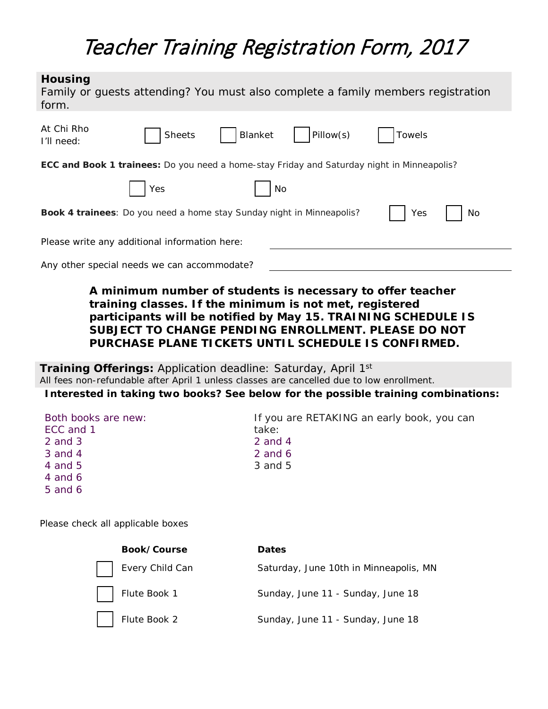#### **Housing** *Family or guests attending? You must also complete a family members registration*

| form.                                                                                             |  |  |  |  |
|---------------------------------------------------------------------------------------------------|--|--|--|--|
| At Chi Rho<br>Pillow(s)<br>Blanket<br><b>Sheets</b><br><b>Towels</b><br>I'll need:                |  |  |  |  |
| <b>ECC and Book 1 trainees:</b> Do you need a home-stay Friday and Saturday night in Minneapolis? |  |  |  |  |
| Yes<br>No                                                                                         |  |  |  |  |
| Book 4 trainees: Do you need a home stay Sunday night in Minneapolis?<br>Yes<br>No                |  |  |  |  |
| Please write any additional information here:                                                     |  |  |  |  |
| Any other special needs we can accommodate?                                                       |  |  |  |  |
|                                                                                                   |  |  |  |  |

### *A minimum number of students is necessary to offer teacher training classes. If the minimum is not met, registered participants will be notified by May 15. TRAINING SCHEDULE IS SUBJECT TO CHANGE PENDING ENROLLMENT. PLEASE DO NOT PURCHASE PLANE TICKETS UNTIL SCHEDULE IS CONFIRMED.*

**Training Offerings:** *Application deadline: Saturday, April 1st* All fees non-refundable after April 1 unless classes are cancelled due to low enrollment.

*Interested in taking two books? See below for the possible training combinations:*

| Both books are new: | If you are RETAKING an early book, you can |
|---------------------|--------------------------------------------|
| ECC and 1           | take:                                      |
| 2 and 3             | 2 and 4                                    |
| 3 and 4             | 2 and 6                                    |
| 4 and 5             | 3 and 5                                    |
| 4 and 6             |                                            |

*Please check all applicable boxes*

5 and 6

| Book/Course     | <b>Dates</b>                           |
|-----------------|----------------------------------------|
| Every Child Can | Saturday, June 10th in Minneapolis, MN |
| Flute Book 1    | Sunday, June 11 - Sunday, June 18      |
| Flute Book 2    | Sunday, June 11 - Sunday, June 18      |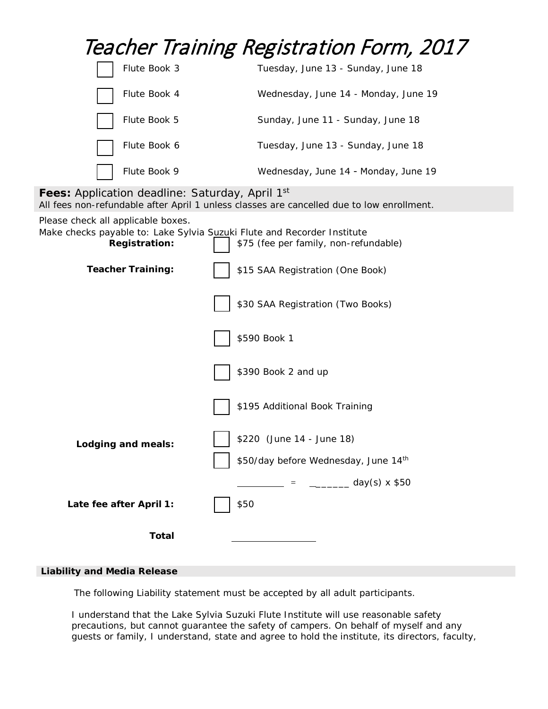|                                                                                                                                       | Teacher Training Registration Form, 2017                                                  |
|---------------------------------------------------------------------------------------------------------------------------------------|-------------------------------------------------------------------------------------------|
| Flute Book 3                                                                                                                          | Tuesday, June 13 - Sunday, June 18                                                        |
| Flute Book 4                                                                                                                          | Wednesday, June 14 - Monday, June 19                                                      |
| Flute Book 5                                                                                                                          | Sunday, June 11 - Sunday, June 18                                                         |
| Flute Book 6                                                                                                                          | Tuesday, June 13 - Sunday, June 18                                                        |
| Flute Book 9                                                                                                                          | Wednesday, June 14 - Monday, June 19                                                      |
| <b>Fees:</b> Application deadline: Saturday, April 1st                                                                                | All fees non-refundable after April 1 unless classes are cancelled due to low enrollment. |
| Please check all applicable boxes.<br>Make checks payable to: Lake Sylvia Suzuki Flute and Recorder Institute<br><b>Registration:</b> | \$75 (fee per family, non-refundable)                                                     |
| <b>Teacher Training:</b>                                                                                                              | \$15 SAA Registration (One Book)                                                          |
|                                                                                                                                       | \$30 SAA Registration (Two Books)                                                         |
|                                                                                                                                       | \$590 Book 1                                                                              |
|                                                                                                                                       | \$390 Book 2 and up                                                                       |
|                                                                                                                                       | \$195 Additional Book Training                                                            |
| Lodging and meals:                                                                                                                    | \$220 (June 14 - June 18)                                                                 |
|                                                                                                                                       | \$50/day before Wednesday, June 14th                                                      |
|                                                                                                                                       | $\frac{1}{1}$ = $\frac{1}{1}$ day(s) x \$50                                               |
| Late fee after April 1:                                                                                                               | \$50                                                                                      |
| <b>Total</b>                                                                                                                          |                                                                                           |

#### **Liability and Media Release**

The following Liability statement must be accepted by all adult participants.

I understand that the Lake Sylvia Suzuki Flute Institute will use reasonable safety precautions, but cannot guarantee the safety of campers. On behalf of myself and any guests or family, I understand, state and agree to hold the institute, its directors, faculty,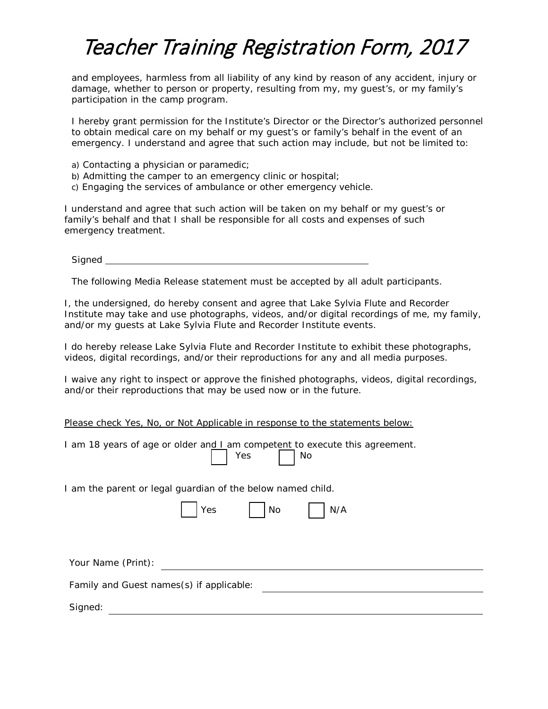and employees, harmless from all liability of any kind by reason of any accident, injury or damage, whether to person or property, resulting from my, my guest's, or my family's participation in the camp program.

I hereby grant permission for the Institute's Director or the Director's authorized personnel to obtain medical care on my behalf or my guest's or family's behalf in the event of an emergency. I understand and agree that such action may include, but not be limited to:

- a) Contacting a physician or paramedic;
- b) Admitting the camper to an emergency clinic or hospital;
- c) Engaging the services of ambulance or other emergency vehicle.

I understand and agree that such action will be taken on my behalf or my guest's or family's behalf and that I shall be responsible for all costs and expenses of such emergency treatment.

Signed **Signed** 

The following Media Release statement must be accepted by all adult participants.

I, the undersigned, do hereby consent and agree that Lake Sylvia Flute and Recorder Institute may take and use photographs, videos, and/or digital recordings of me, my family, and/or my guests at Lake Sylvia Flute and Recorder Institute events.

I do hereby release Lake Sylvia Flute and Recorder Institute to exhibit these photographs, videos, digital recordings, and/or their reproductions for any and all media purposes.

I waive any right to inspect or approve the finished photographs, videos, digital recordings, and/or their reproductions that may be used now or in the future.

Yes | No

|  | Please check Yes, No, or Not Applicable in response to the statements below: |  |
|--|------------------------------------------------------------------------------|--|
|  |                                                                              |  |

| I am 18 years of age or older and I am competent to execute this agreement. |  |  |
|-----------------------------------------------------------------------------|--|--|
|-----------------------------------------------------------------------------|--|--|

I am the parent or legal guardian of the below named child.

|  | $\overline{\phantom{0}}$<br>ىد | . .<br>O | $\sqrt{2}$<br>Ν |
|--|--------------------------------|----------|-----------------|
|--|--------------------------------|----------|-----------------|

Your Name (Print):  $\qquad \qquad \qquad$ 

Family and Guest names(s) if applicable:

Signed: with the contract of the contract of the contract of the contract of the contract of the contract of the contract of the contract of the contract of the contract of the contract of the contract of the contract of t